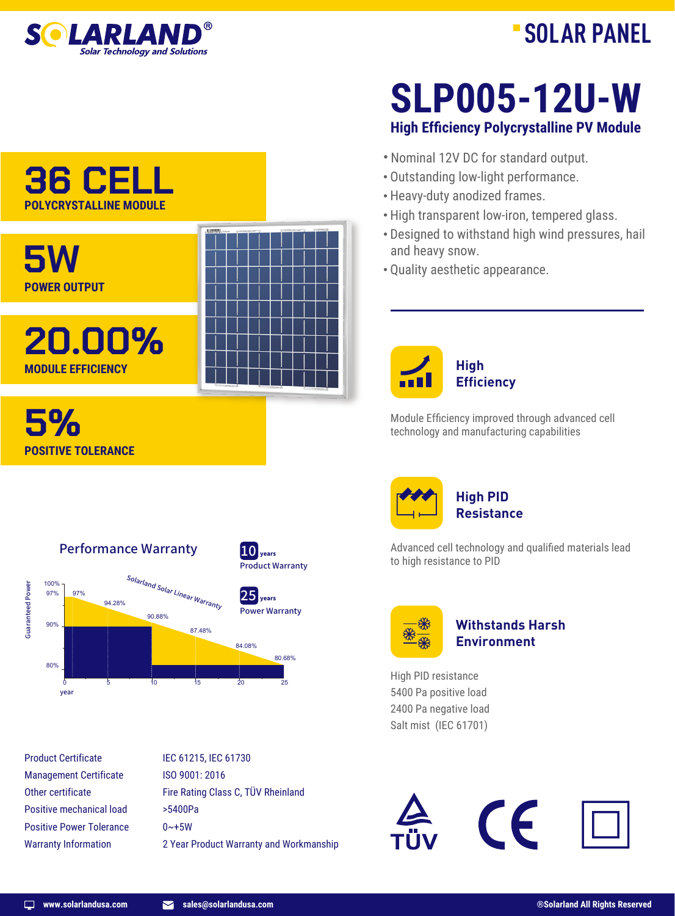

# **SOLAR PANEL**

## **36 CELL POLYCRYSTALLINE MODULE**



**High Efficiency Polycrystalline PV Module SLP005-12U-W**

- · Nominal 12V DC for standard output.
- · Outstanding low-light performance.
- · Heavy-duty anodized frames.
- · High transparent low-iron, tempered glass.
- · Designed to withstand high wind pressures, hail and heavy snow.
- · Quality aesthetic appearance.



Module Efficiency improved through advanced cell technology and manufacturing capabilities



Advanced cell technology and qualified materials lead to high resistance to PID



### **Withstands Harsh Environment**

High PID resistance 5400 Pa positive load 2400 Pa negative load Salt mist (IEC 61701)

ISO 9001: 2016 >5400Pa  $0 - +5W$ Management Certificate Other certificate Positive mechanical load Positive Power Tolerance Warranty Information

Performance Warranty

90.88%

0 5 10 15 20 25

Solarland Solar Linear Warranty

87.48%

94.28%

IEC 61215, IEC 61730 Fire Rating Class C, TÜV Rheinland 2 Year Product Warranty and Workmanship

Product Warranty  $10$   $_{\text{years}}$ 

Power Warranty  $25$ <sub>years</sub>

80.68%

84.08%



year

Product Certificate

Guaranteed Power

**Guaranteed Power** 

100% 97% 97%

**POSITIVE TOLERANCE**

90%

80%